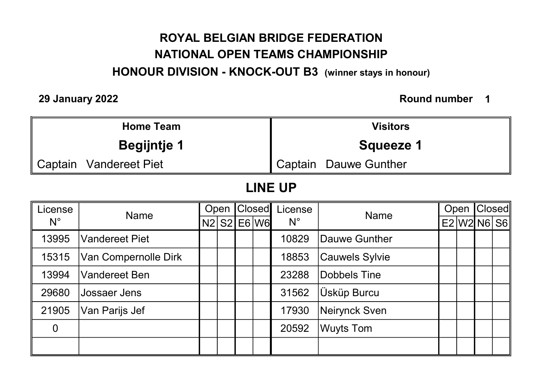# ROYAL BELGIAN BRIDGE FEDERATION NATIONAL OPEN TEAMS CHAMPIONSHIP

HONOUR DIVISION - KNOCK-OUT B3 (winner stays in honour)

29 January 2022

#### Round number 1

| <b>Home Team</b>         | <b>Visitors</b>         |
|--------------------------|-------------------------|
| <b>Begijntje 1</b>       | Squeeze 1               |
| ∥ Captain Vandereet Piet | ' Captain Dauwe Gunther |

## LINE UP

| License     | <b>Name</b>           |  | Open |  | Closed      | License     | <b>Name</b>      | Open |  | $ $ Closed                                        |  |
|-------------|-----------------------|--|------|--|-------------|-------------|------------------|------|--|---------------------------------------------------|--|
| $N^{\circ}$ |                       |  |      |  | N2 S2 E6 W6 | $N^{\circ}$ |                  |      |  | $E2$ W <sub>2</sub> N <sub>6</sub> S <sub>6</sub> |  |
| 13995       | <b>Vandereet Piet</b> |  |      |  |             | 10829       | Dauwe Gunther    |      |  |                                                   |  |
| 15315       | Van Compernolle Dirk  |  |      |  |             | 18853       | Cauwels Sylvie   |      |  |                                                   |  |
| 13994       | <b>Vandereet Ben</b>  |  |      |  |             | 23288       | Dobbels Tine     |      |  |                                                   |  |
| 29680       | <b>Jossaer Jens</b>   |  |      |  |             | 31562       | ∣Üsküp Burcu     |      |  |                                                   |  |
| 21905       | Van Parijs Jef        |  |      |  |             | 17930       | Neirynck Sven    |      |  |                                                   |  |
| $\Omega$    |                       |  |      |  |             | 20592       | <b>Wuyts Tom</b> |      |  |                                                   |  |
|             |                       |  |      |  |             |             |                  |      |  |                                                   |  |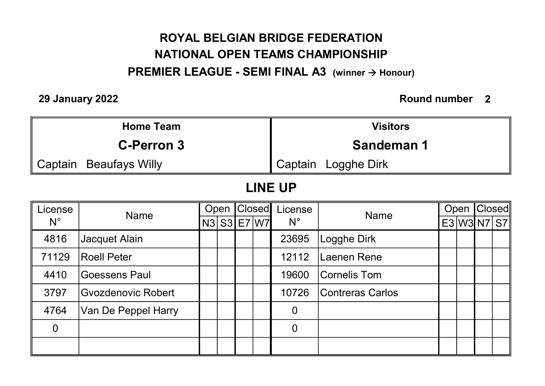## ROYAL BELGIAN BRIDGE FEDERATION NATIONAL OPEN TEAMS CHAMPIONSHIP

PREMIER LEAGUE - SEMI FINAL A3 (winner  $\rightarrow$  Honour)

29 January 2022

#### Round number 2

| <b>Home Team</b>         | <b>Visitors</b>     |
|--------------------------|---------------------|
| <b>C-Perron 3</b>        | <b>Sandeman 1</b>   |
| ∥ Captain Beaufays Willy | Captain Logghe Dirk |

## LINE UP

| License        | <b>Name</b>          |  | Open |  | <b>Closed</b> | License        | <b>Name</b>      | Open |  | <b>Closed</b>       |  |
|----------------|----------------------|--|------|--|---------------|----------------|------------------|------|--|---------------------|--|
| $N^{\circ}$    |                      |  |      |  | N3 S3 E7 W7   | $N^{\circ}$    |                  |      |  | $E3$   W3   N7   S7 |  |
| 4816           | Jacquet Alain        |  |      |  |               | 23695          | Logghe Dirk      |      |  |                     |  |
| 71129          | <b>Roell Peter</b>   |  |      |  |               | 12112          | Laenen Rene      |      |  |                     |  |
| 4410           | <b>Goessens Paul</b> |  |      |  |               | 19600          | Cornelis Tom     |      |  |                     |  |
| 3797           | Gvozdenovic Robert   |  |      |  |               | 10726          | Contreras Carlos |      |  |                     |  |
| 4764           | Van De Peppel Harry  |  |      |  |               | $\overline{0}$ |                  |      |  |                     |  |
| $\overline{0}$ |                      |  |      |  |               | $\overline{0}$ |                  |      |  |                     |  |
|                |                      |  |      |  |               |                |                  |      |  |                     |  |